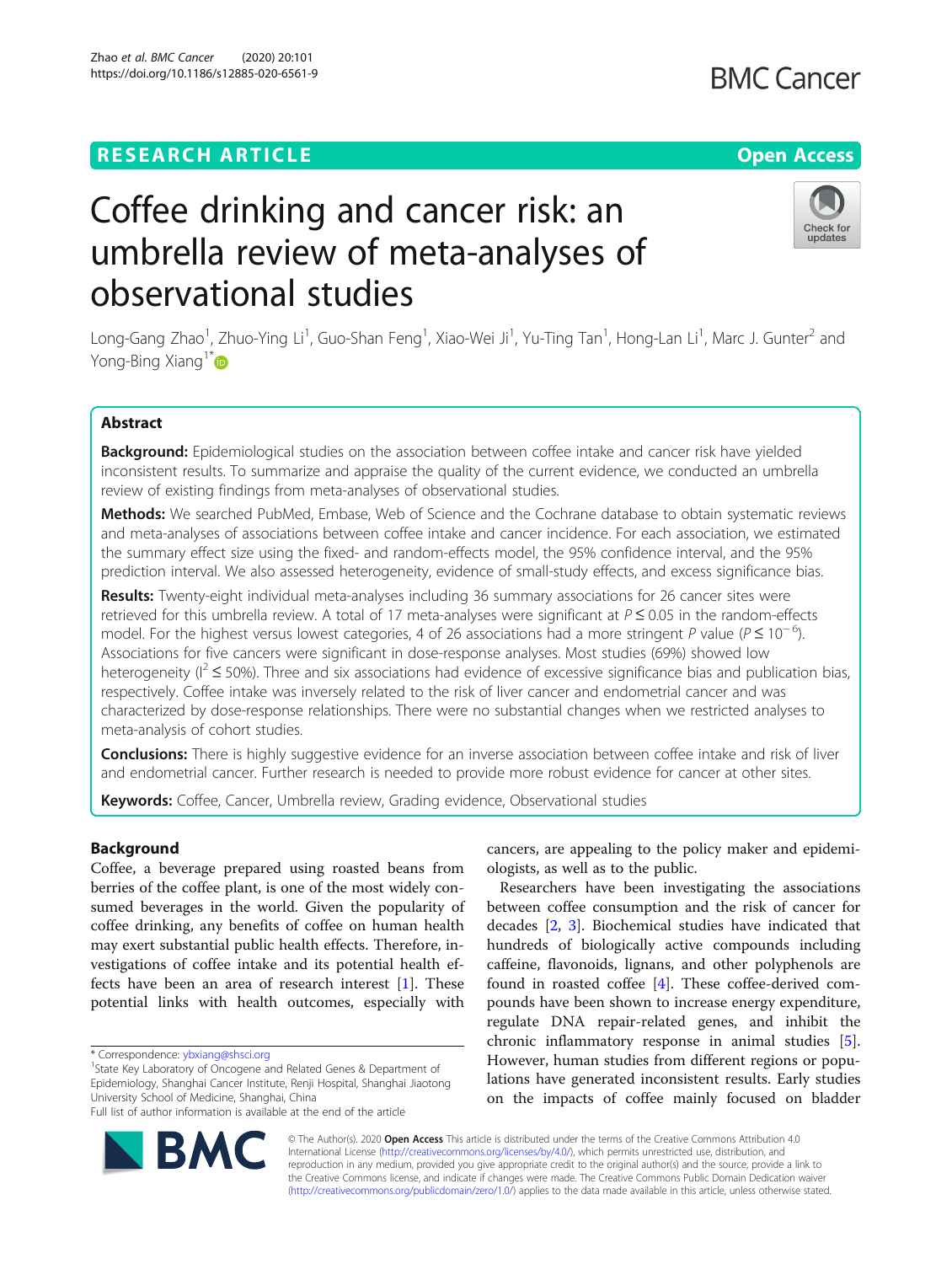## **RESEARCH ARTICLE Example 2014 12:30 The Contract of Contract ACCESS**

# Coffee drinking and cancer risk: an umbrella review of meta-analyses of observational studies

Long-Gang Zhao<sup>1</sup>, Zhuo-Ying Li<sup>1</sup>, Guo-Shan Feng<sup>1</sup>, Xiao-Wei Ji<sup>1</sup>, Yu-Ting Tan<sup>1</sup>, Hong-Lan Li<sup>1</sup>, Marc J. Gunter<sup>2</sup> and Yong-Bing Xiang<sup>1\*</sup>

### Abstract

Background: Epidemiological studies on the association between coffee intake and cancer risk have yielded inconsistent results. To summarize and appraise the quality of the current evidence, we conducted an umbrella review of existing findings from meta-analyses of observational studies.

Methods: We searched PubMed, Embase, Web of Science and the Cochrane database to obtain systematic reviews and meta-analyses of associations between coffee intake and cancer incidence. For each association, we estimated the summary effect size using the fixed- and random-effects model, the 95% confidence interval, and the 95% prediction interval. We also assessed heterogeneity, evidence of small-study effects, and excess significance bias.

Results: Twenty-eight individual meta-analyses including 36 summary associations for 26 cancer sites were retrieved for this umbrella review. A total of 17 meta-analyses were significant at  $P \le 0.05$  in the random-effects model. For the highest versus lowest categories, 4 of 26 associations had a more stringent P value (P ≤ 10<sup>-6</sup>). Associations for five cancers were significant in dose-response analyses. Most studies (69%) showed low heterogeneity ( $1^2 \le 50\%$ ). Three and six associations had evidence of excessive significance bias and publication bias, respectively. Coffee intake was inversely related to the risk of liver cancer and endometrial cancer and was characterized by dose-response relationships. There were no substantial changes when we restricted analyses to meta-analysis of cohort studies.

**Conclusions:** There is highly suggestive evidence for an inverse association between coffee intake and risk of liver and endometrial cancer. Further research is needed to provide more robust evidence for cancer at other sites.

Keywords: Coffee, Cancer, Umbrella review, Grading evidence, Observational studies

#### Background

Coffee, a beverage prepared using roasted beans from berries of the coffee plant, is one of the most widely consumed beverages in the world. Given the popularity of coffee drinking, any benefits of coffee on human health may exert substantial public health effects. Therefore, investigations of coffee intake and its potential health effects have been an area of research interest [\[1](#page-10-0)]. These potential links with health outcomes, especially with

\* Correspondence: [ybxiang@shsci.org](mailto:ybxiang@shsci.org) <sup>1</sup>

© The Author(s). 2020 **Open Access** This article is distributed under the terms of the Creative Commons Attribution 4.0 International License [\(http://creativecommons.org/licenses/by/4.0/](http://creativecommons.org/licenses/by/4.0/)), which permits unrestricted use, distribution, and reproduction in any medium, provided you give appropriate credit to the original author(s) and the source, provide a link to the Creative Commons license, and indicate if changes were made. The Creative Commons Public Domain Dedication waiver [\(http://creativecommons.org/publicdomain/zero/1.0/](http://creativecommons.org/publicdomain/zero/1.0/)) applies to the data made available in this article, unless otherwise stated.

cancers, are appealing to the policy maker and epidemiologists, as well as to the public.

Researchers have been investigating the associations between coffee consumption and the risk of cancer for decades [\[2](#page-10-0), [3\]](#page-10-0). Biochemical studies have indicated that hundreds of biologically active compounds including caffeine, flavonoids, lignans, and other polyphenols are found in roasted coffee [[4](#page-10-0)]. These coffee-derived compounds have been shown to increase energy expenditure, regulate DNA repair-related genes, and inhibit the chronic inflammatory response in animal studies [\[5](#page-10-0)]. However, human studies from different regions or populations have generated inconsistent results. Early studies on the impacts of coffee mainly focused on bladder





<sup>&</sup>lt;sup>1</sup> State Key Laboratory of Oncogene and Related Genes & Department of Epidemiology, Shanghai Cancer Institute, Renji Hospital, Shanghai Jiaotong University School of Medicine, Shanghai, China Full list of author information is available at the end of the article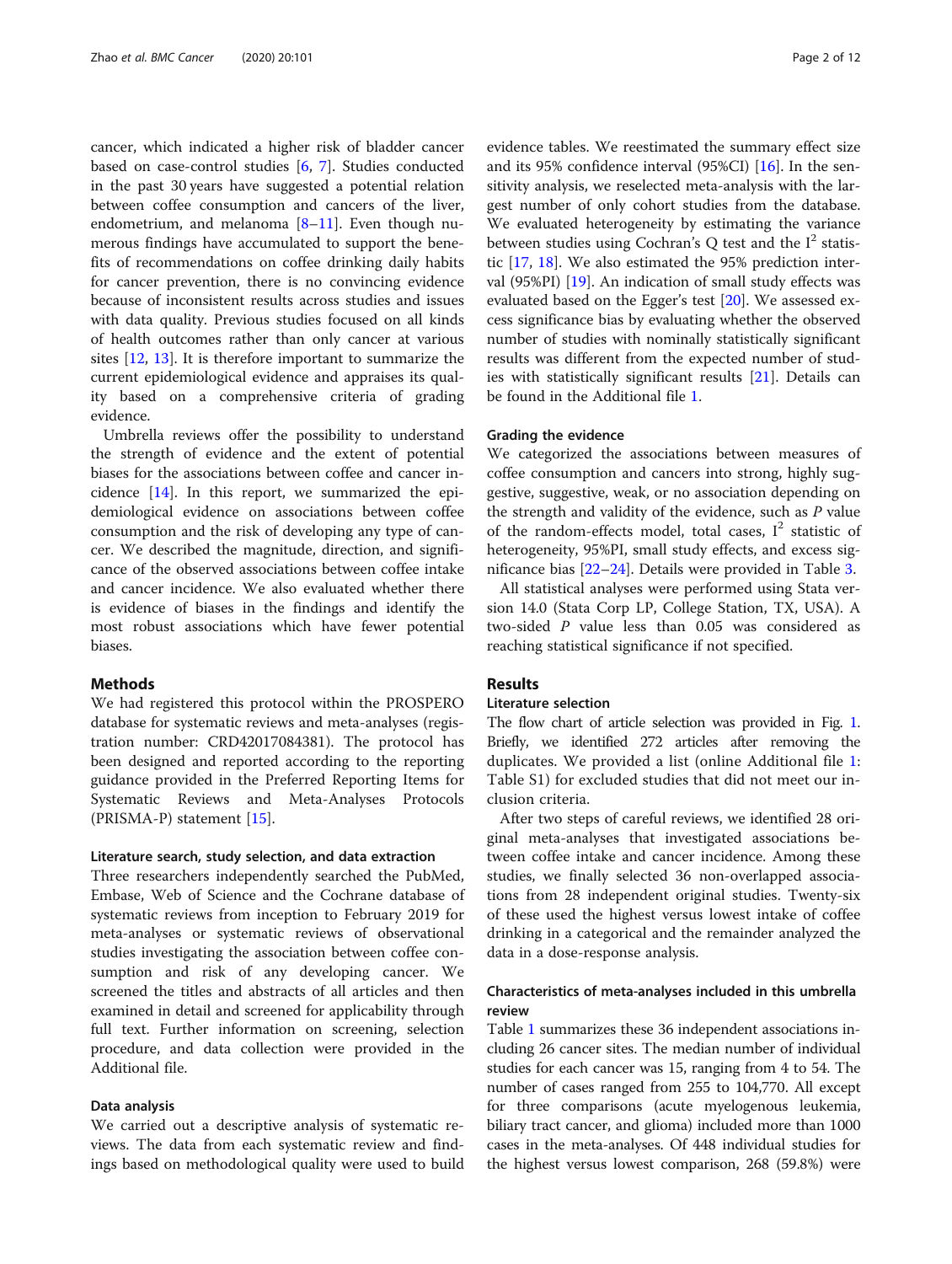cancer, which indicated a higher risk of bladder cancer based on case-control studies [\[6](#page-10-0), [7\]](#page-10-0). Studies conducted in the past 30 years have suggested a potential relation between coffee consumption and cancers of the liver, endometrium, and melanoma [\[8](#page-10-0)–[11](#page-10-0)]. Even though numerous findings have accumulated to support the benefits of recommendations on coffee drinking daily habits for cancer prevention, there is no convincing evidence because of inconsistent results across studies and issues with data quality. Previous studies focused on all kinds of health outcomes rather than only cancer at various sites [[12,](#page-10-0) [13\]](#page-10-0). It is therefore important to summarize the current epidemiological evidence and appraises its quality based on a comprehensive criteria of grading evidence.

Umbrella reviews offer the possibility to understand the strength of evidence and the extent of potential biases for the associations between coffee and cancer incidence [\[14\]](#page-10-0). In this report, we summarized the epidemiological evidence on associations between coffee consumption and the risk of developing any type of cancer. We described the magnitude, direction, and significance of the observed associations between coffee intake and cancer incidence. We also evaluated whether there is evidence of biases in the findings and identify the most robust associations which have fewer potential biases.

#### **Methods**

We had registered this protocol within the PROSPERO database for systematic reviews and meta-analyses (registration number: CRD42017084381). The protocol has been designed and reported according to the reporting guidance provided in the Preferred Reporting Items for Systematic Reviews and Meta-Analyses Protocols (PRISMA-P) statement [\[15\]](#page-10-0).

#### Literature search, study selection, and data extraction

Three researchers independently searched the PubMed, Embase, Web of Science and the Cochrane database of systematic reviews from inception to February 2019 for meta-analyses or systematic reviews of observational studies investigating the association between coffee consumption and risk of any developing cancer. We screened the titles and abstracts of all articles and then examined in detail and screened for applicability through full text. Further information on screening, selection procedure, and data collection were provided in the Additional file.

#### Data analysis

We carried out a descriptive analysis of systematic reviews. The data from each systematic review and findings based on methodological quality were used to build

evidence tables. We reestimated the summary effect size and its 95% confidence interval (95%CI) [\[16](#page-10-0)]. In the sensitivity analysis, we reselected meta-analysis with the largest number of only cohort studies from the database. We evaluated heterogeneity by estimating the variance between studies using Cochran's Q test and the  $I^2$  statistic [\[17](#page-10-0), [18](#page-10-0)]. We also estimated the 95% prediction interval (95%PI) [\[19\]](#page-10-0). An indication of small study effects was evaluated based on the Egger's test [[20\]](#page-10-0). We assessed excess significance bias by evaluating whether the observed number of studies with nominally statistically significant results was different from the expected number of studies with statistically significant results [\[21](#page-10-0)]. Details can be found in the Additional file [1](#page-9-0).

#### Grading the evidence

We categorized the associations between measures of coffee consumption and cancers into strong, highly suggestive, suggestive, weak, or no association depending on the strength and validity of the evidence, such as  $P$  value of the random-effects model, total cases,  $I^2$  statistic of heterogeneity, 95%PI, small study effects, and excess significance bias [[22](#page-10-0)–[24\]](#page-10-0). Details were provided in Table [3.](#page-8-0)

All statistical analyses were performed using Stata version 14.0 (Stata Corp LP, College Station, TX, USA). A two-sided P value less than 0.05 was considered as reaching statistical significance if not specified.

#### Results

#### Literature selection

The flow chart of article selection was provided in Fig. [1](#page-2-0). Briefly, we identified 272 articles after removing the duplicates. We provided a list (online Additional file [1](#page-9-0): Table S1) for excluded studies that did not meet our inclusion criteria.

After two steps of careful reviews, we identified 28 original meta-analyses that investigated associations between coffee intake and cancer incidence. Among these studies, we finally selected 36 non-overlapped associations from 28 independent original studies. Twenty-six of these used the highest versus lowest intake of coffee drinking in a categorical and the remainder analyzed the data in a dose-response analysis.

#### Characteristics of meta-analyses included in this umbrella review

Table [1](#page-3-0) summarizes these 36 independent associations including 26 cancer sites. The median number of individual studies for each cancer was 15, ranging from 4 to 54. The number of cases ranged from 255 to 104,770. All except for three comparisons (acute myelogenous leukemia, biliary tract cancer, and glioma) included more than 1000 cases in the meta-analyses. Of 448 individual studies for the highest versus lowest comparison, 268 (59.8%) were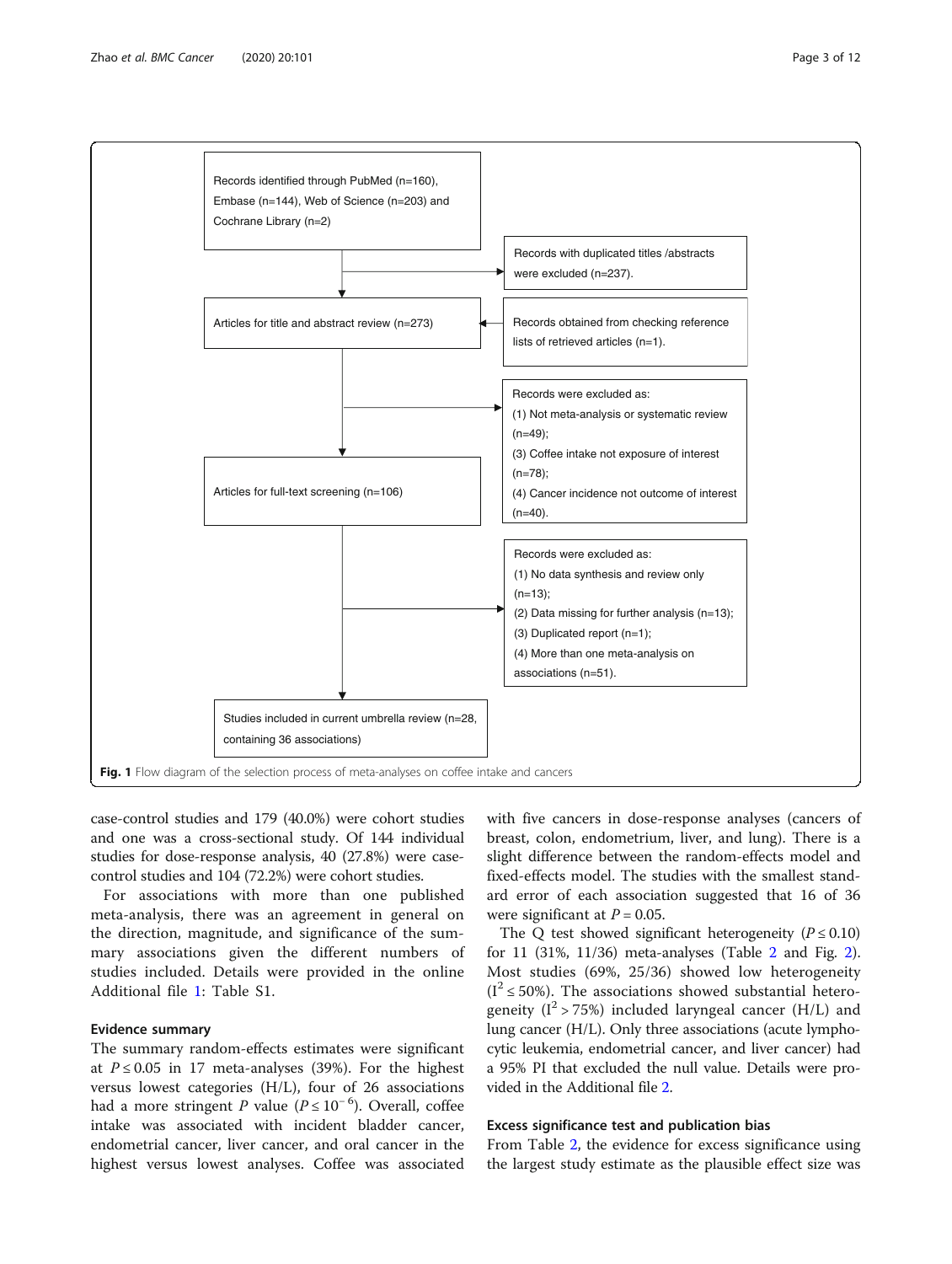<span id="page-2-0"></span>

case-control studies and 179 (40.0%) were cohort studies and one was a cross-sectional study. Of 144 individual studies for dose-response analysis, 40 (27.8%) were casecontrol studies and 104 (72.2%) were cohort studies.

For associations with more than one published meta-analysis, there was an agreement in general on the direction, magnitude, and significance of the summary associations given the different numbers of studies included. Details were provided in the online Additional file [1](#page-9-0): Table S1.

#### Evidence summary

The summary random-effects estimates were significant at  $P \le 0.05$  in 17 meta-analyses (39%). For the highest versus lowest categories (H/L), four of 26 associations had a more stringent P value ( $P \le 10^{-6}$ ). Overall, coffee intake was associated with incident bladder cancer, endometrial cancer, liver cancer, and oral cancer in the highest versus lowest analyses. Coffee was associated

with five cancers in dose-response analyses (cancers of breast, colon, endometrium, liver, and lung). There is a slight difference between the random-effects model and fixed-effects model. The studies with the smallest standard error of each association suggested that 16 of 36 were significant at  $P = 0.05$ .

The Q test showed significant heterogeneity ( $P \le 0.10$ ) for 11 (31%, 11/36) meta-analyses (Table [2](#page-5-0) and Fig. [2](#page-7-0)). Most studies (69%, 25/36) showed low heterogeneity  $(I^2 \le 50\%)$ . The associations showed substantial heterogeneity ( $I^2 > 75\%$ ) included laryngeal cancer (H/L) and lung cancer (H/L). Only three associations (acute lymphocytic leukemia, endometrial cancer, and liver cancer) had a 95% PI that excluded the null value. Details were provided in the Additional file [2.](#page-9-0)

#### Excess significance test and publication bias

From Table [2](#page-5-0), the evidence for excess significance using the largest study estimate as the plausible effect size was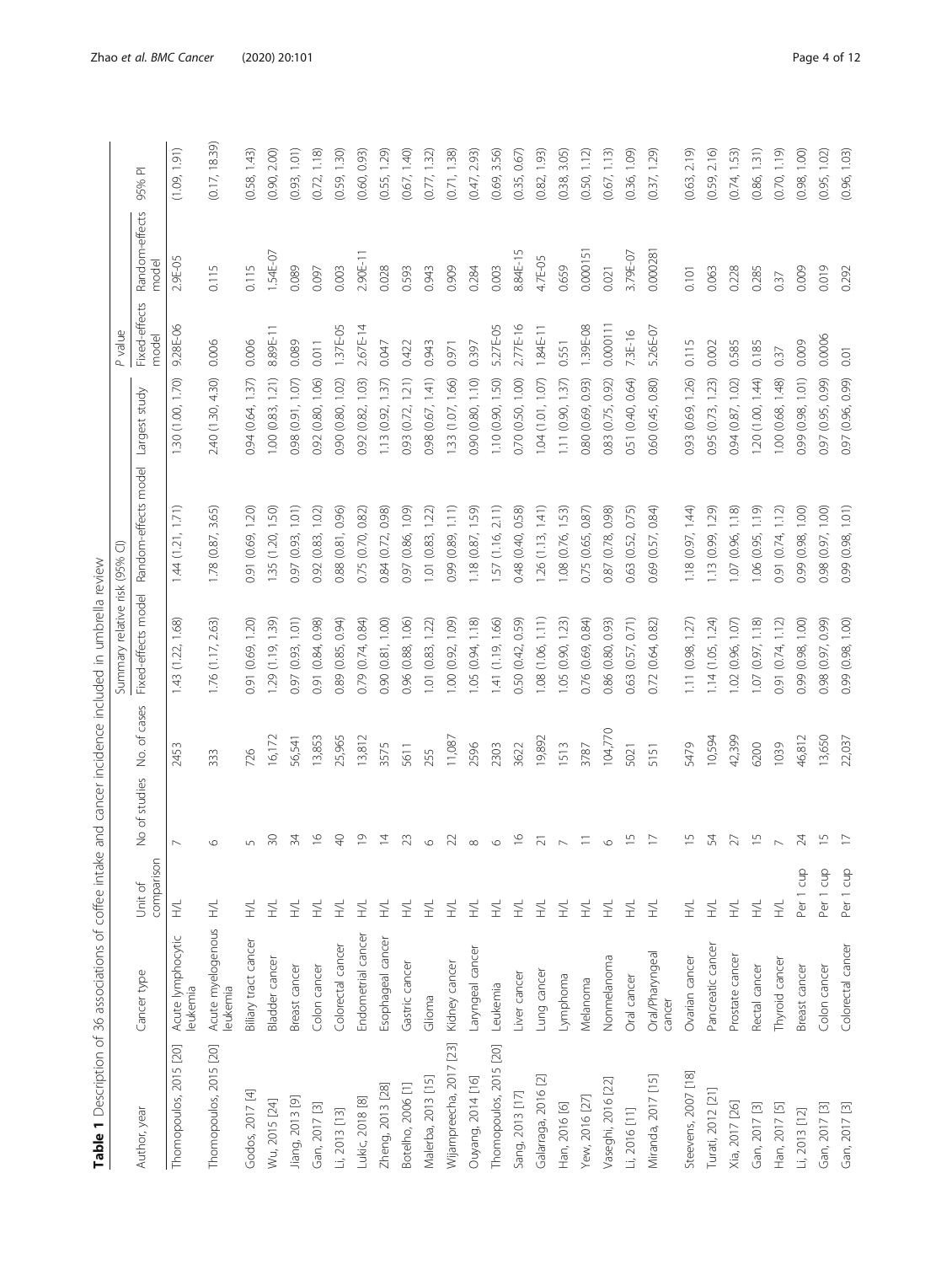|   | ļ                   |
|---|---------------------|
|   | l                   |
|   | i                   |
|   | ţ                   |
|   | ł<br>١              |
|   |                     |
|   | j<br>֦              |
|   | I<br>ļ              |
|   |                     |
|   |                     |
|   |                     |
|   | ١                   |
|   | ٢<br>7              |
|   | j<br>I              |
|   | ī<br>١              |
|   |                     |
|   | Ï<br>l              |
|   | l                   |
|   |                     |
|   | d<br>I              |
|   | $\frac{1}{2}$<br>Ś  |
|   | j<br>j              |
|   | S                   |
|   | İ<br>j              |
|   | I                   |
|   | l                   |
|   | i                   |
|   | ز<br>j              |
|   | j                   |
|   | i<br>j              |
|   |                     |
|   | ī<br>$\overline{2}$ |
|   | ł                   |
|   |                     |
|   |                     |
|   | ;<br>}<br>ł         |
|   | į                   |
|   |                     |
|   |                     |
|   | j<br>Ì              |
|   | ׇ֦֡֡֡               |
|   | ï<br>١<br>j<br>j    |
|   |                     |
|   |                     |
|   |                     |
|   |                     |
|   | l                   |
|   |                     |
|   | ١                   |
|   | j                   |
|   | J<br>١              |
|   | ì                   |
|   |                     |
|   | ١                   |
| Ì | ١                   |
|   | ١                   |
|   |                     |
|   | ֚֚֡֡                |
|   | j                   |
|   |                     |
|   |                     |
|   |                     |
|   | j<br>Ï              |
|   |                     |
| I | ١                   |
|   |                     |
|   | eler                |
|   |                     |
|   |                     |
|   |                     |
|   |                     |

<span id="page-3-0"></span>

|                         |                              |                       |                            |         | Summary relative risk (95% CI) |                                          |                   | P value                |                         |               |
|-------------------------|------------------------------|-----------------------|----------------------------|---------|--------------------------------|------------------------------------------|-------------------|------------------------|-------------------------|---------------|
| Author, year            | Cancer type                  | comparison<br>Unit of | No of studies No. of cases |         |                                | Fixed-effects model Random-effects model | Largest study     | Fixed-effects<br>model | Random-effects<br>model | ᅐ<br>95%      |
| Thomopoulos, 2015 [20]  | Acute lymphocytic<br>eukemia | $\Xi$                 | $\overline{ }$             | 2453    | 1.43 (1.22, 1.68)              | 1.44(1.21, 1.71)                         | 1.30 (1.00, 1.70) | 9.28E-06               | 2.9E-05                 | (1.09, 1.91)  |
| Thomopoulos, 2015 [20]  | Acute myelogenous<br>eukemia | $\preceq$             | $\circ$                    | 333     | 1.76 (1.17, 2.63)              | 1.78(0.87, 3.65)                         | 2.40 (1.30, 4.30) | 0.006                  | 0.115                   | (0.17, 18.39) |
| Godos, 2017 [4]         | Biliary tract cancer         | E                     |                            | 726     | 0.91 (0.69, 1.20)              | 0.91 (0.69, 1.20)                        | 0.94 (0.64, 1.37) | 0.006                  | 0.115                   | (0.58, 1.43)  |
| Wu, 2015 [24]           | Bladder cancer               | ž,                    | 50                         | 16,172  | 1.29(1.19, 1.39)               | 1.35(1.20, 1.50)                         | 1.00 (0.83, 1.21) | 8.89E-11               | $1.54E - 07$            | (0.90, 2.00)  |
| Jiang, 2013 [9]         | Breast cancer                | ž,                    | 34                         | 56,541  | 0.97 (0.93, 1.01)              | 0.97 (0.93, 1.01)                        | 0.98 (0.91, 1.07) | 0.089                  | 0.089                   | (0.93, 1.01)  |
| Gan, 2017 [3]           | Colon cancer                 | 2                     | $\frac{0}{1}$              | 13,853  | 0.91 (0.84, 0.98)              | 0.92(0.83, 1.02)                         | 0.92 (0.80, 1.06) | 0.011                  | 0.097                   | (0.72, 1.18)  |
| Li, 2013 [13]           | Colorectal cancer            | 2                     | $\overline{Q}$             | 25,965  | 0.89 (0.85, 0.94)              | 0.88 (0.81, 0.96)                        | 0.90 (0.80, 1.02) | 1.37E-05               | 0.003                   | (0.59, 1.30)  |
| Lukic, 2018 [8]         | Endometrial cancer           | E                     | $\overline{0}$             | 13,812  | 0.79 (0.74, 0.84)              | 0.75 (0.70, 0.82)                        | 0.92 (0.82, 1.03) | 2.67E-14               | $2.90E-11$              | (0.60, 0.93)  |
| Zheng, 2013 [28]        | Esophageal cancer            | ž,                    | $\overline{4}$             | 3575    | 0.90 (0.81, 1.00)              | 0.84 (0.72, 0.98)                        | 1.13(0.92, 1.37)  | 0.047                  | 0.028                   | (0.55, 1.29)  |
| Botelho, 2006 [1]       | Gastric cancer               | 兰                     | 23                         | 5611    | 0.96 (0.88, 1.06)              | 0.97 (0.86, 1.09)                        | 0.93 (0.72, 1.21) | 0.422                  | 0.593                   | (0.67, 1.40)  |
| Malerba, 2013 [15]      | Glioma                       | E                     | $\circ$                    | 255     | 1.01(0.83, 1.22)               | $1.01$ $(0.83, 1.22)$                    | 0.98 (0.67, 1.41) | 0.943                  | 0.943                   | (0.77, 1.32)  |
| Wijampreecha, 2017 [23] | Kidney cancer                | 2                     | 22                         | 11,087  | 1.00(0.92, 1.09)               | 0.99 (0.89, 1.11)                        | 1.33 (1.07, 1.66) | 0.971                  | 0.909                   | (0.71, 1.38)  |
| Ouyang, 2014 [16]       | Laryngeal cancer             | ž,                    | $\infty$                   | 2596    | 1.05(0.94, 1.18)               | 1.18 (0.87, 1.59)                        | 0.90 (0.80, 1.10) | 0.397                  | 0.284                   | (0.47, 2.93)  |
| Thomopoulos, 2015 [20]  | Leukemia                     | 2                     | $\circ$                    | 2303    | 1.41 (1.19, 1.66)              | 1.57(1.16, 2.11)                         | 1.10 (0.90, 1.50) | 5.27E-05               | 0.003                   | (0.69, 3.56)  |
| Sang, 2013 [17]         | Liver cancer                 | 2                     | $\frac{6}{1}$              | 3622    | 0.50 (0.42, 0.59)              | 0.48 (0.40, 0.58)                        | 0.70 (0.50, 1.00) | 2.77E-16               | 8.84E-15                | (0.35, 0.67)  |
| Galarraga, 2016 [2]     | Lung cancer                  | 2                     | $\overline{21}$            | 19,892  | 1.08 (1.06, 1.11)              | 1.26(1.13, 1.41)                         | 1.04(1.01, 1.07)  | $1.84E-11$             | 4.7E-05                 | (0.82, 1.93)  |
| Han, 2016 [6]           | Lymphoma                     | ž,                    |                            | 1513    | 1.05(0.90, 1.23)               | 1.08 (0.76, 1.53)                        | 1.11 (0.90, 1.37) | 0.551                  | 0.659                   | (0.38, 3.05)  |
| Yew, 2016 [27]          | Melanoma                     | 2                     | $\equiv$                   | 3787    | 0.76 (0.69, 0.84)              | 0.75 (0.65, 0.87)                        | 0.80 (0.69, 0.93) | 1.39E-08               | 0.000151                | (0.50, 1.12)  |
| Vaseghi, 2016 [22]      | Nonmelanoma                  | 2                     | $\circ$                    | 104,770 | 0.86 (0.80, 0.93)              | 0.87 (0.78, 0.98)                        | 0.83 (0.75, 0.92) | 0.000111               | 0.021                   | (0.67, 1.13)  |
| Li, 2016 [11]           | Oral cancer                  | 2                     | $\frac{5}{1}$              | 5021    | 0.63 (0.57, 0.71)              | 0.63 (0.52, 0.75)                        | 0.51 (0.40, 0.64) | 7.3E-16                | 3.79E-07                | (0.36, 1.09)  |
| Miranda, 2017 [15]      | Oral/Pharyngeal<br>cancer    | ž,                    | $\overline{1}$             | 5151    | 0.72 (0.64, 0.82)              | 0.69 (0.57, 0.84)                        | 0.60 (0.45, 0.80) | 5.26E-07               | 0.000281                | (0.37, 1.29)  |
| Steevens, 2007 [18]     | Ovarian cancer               | 2                     | $\overline{\phantom{0}}$   | 5479    | 1.11(0.98, 1.27)               | 1.18(0.97, 1.44)                         | 0.93 (0.69, 1.26) | 0.115                  | 0.101                   | (0.63, 2.19)  |
| Turati, 2012 [21]       | Pancreatic cancer            | E                     | 54                         | 10,594  | 1.14(1.05, 1.24)               | 1.13 (0.99, 1.29)                        | 0.95 (0.73, 1.23) | 0.002                  | 0.063                   | (0.59, 2.16)  |
| Xia, 2017 [26]          | Prostate cancer              | $\Xi$                 | 27                         | 42,399  | 1.02(0.96, 1.07)               | 1.07 (0.96, 1.18)                        | 0.94 (0.87, 1.02) | 0.585                  | 0.228                   | (0.74, 1.53)  |
| Gan, 2017 [3]           | Rectal cancer                | E                     | $\overline{1}$             | 6200    | 1.07(0.97, 1.18)               | 1.06 (0.95, 1.19)                        | 1.20 (1.00, 1.44) | 0.185                  | 0.285                   | (0.86, 1.31)  |
| Han, 2017 [5]           | Thyroid cancer               | ž,                    |                            | 1039    | 0.91(0.74, 1.12)               | 0.91(0.74, 1.12)                         | 1.00 (0.68, 1.48) | 0.37                   | 0.37                    | (0.70, 1.19)  |
| Li, 2013 [12]           | Breast cancer                | Per 1 cup             | 24                         | 46,812  | 0.99 (0.98, 1.00)              | 0.99 (0.98, 1.00)                        | 0.99 (0.98, 1.01) | 0.009                  | 0.009                   | (0.98, 1.00)  |
| Gan, 2017 [3]           | Colon cancer                 | Per 1 cup             | $\overline{1}$             | 13,650  | 0.98 (0.97, 0.99)              | 0.98 (0.97, 1.00)                        | 0.97 (0.95, 0.99) | 0.0006                 | 0.019                   | (0.95, 1.02)  |
| Gan, 2017 [3]           | Colorectal cancer            | Per 1 cup             | $\overline{1}$             | 22,037  | 0.99 (0.98, 1.00)              | 0.99 (0.98, 1.01)                        | 0.97 (0.96, 0.99) | $\overline{0}$         | 0.292                   | (0.96, 1.03)  |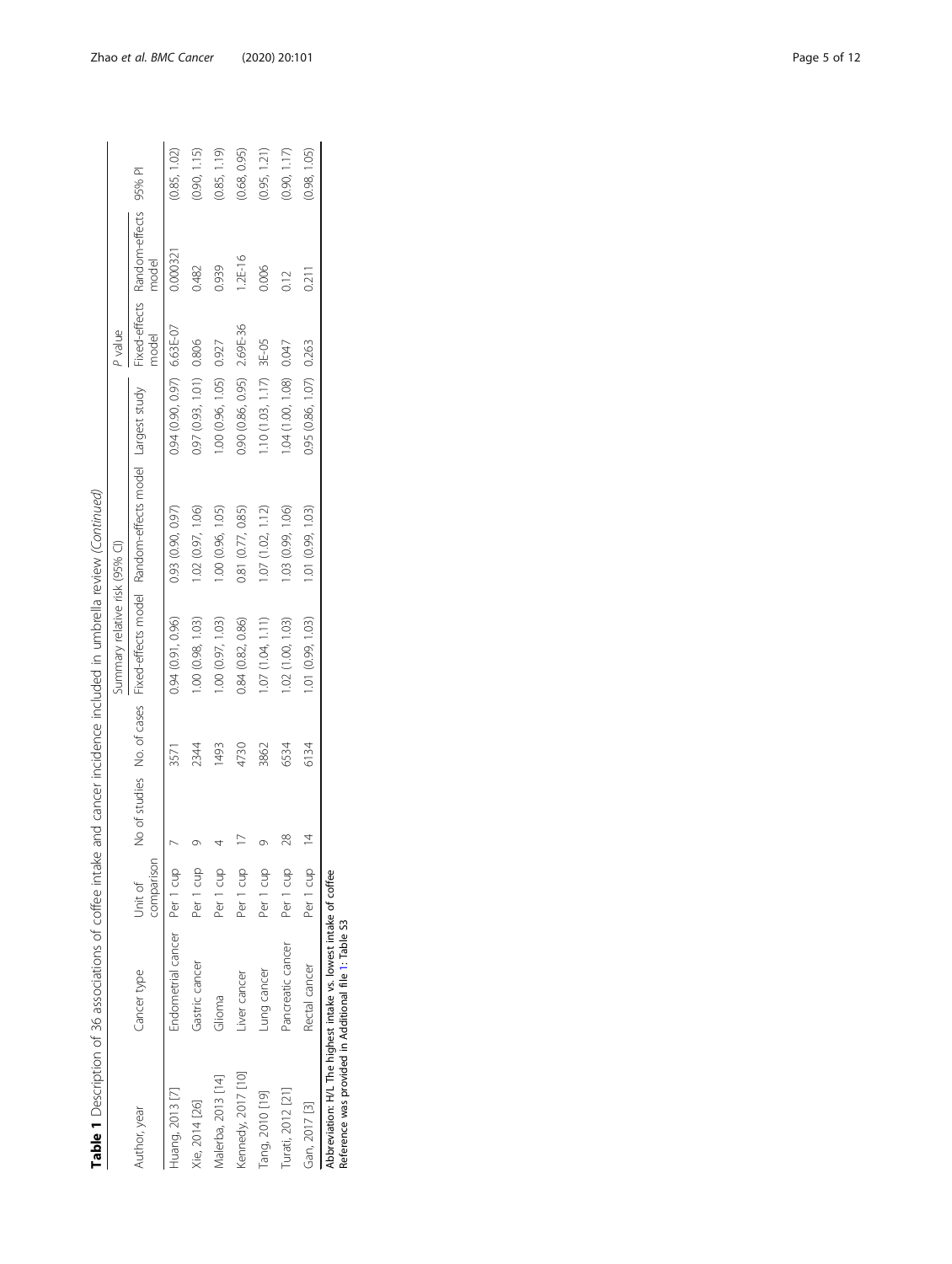|                    |                                                                                                                           |                       |    |      | Summary relative risk (95% CI) |                                                                                   |                             | P value |                                       |              |
|--------------------|---------------------------------------------------------------------------------------------------------------------------|-----------------------|----|------|--------------------------------|-----------------------------------------------------------------------------------|-----------------------------|---------|---------------------------------------|--------------|
| Author, year       | Cancer type                                                                                                               | comparison<br>Unit of |    |      |                                | No of studies No. of cases Fixed-effects model Random-effects model Largest study |                             | nodel   | Fixed-effects Random-effects<br>model | 95% PI       |
| Huang, 2013 [7]    | Endometrial cancer Per 1 cup                                                                                              |                       |    | 3571 | 0.94 (0.91, 0.96)              | 0.93 (0.90, 0.97)                                                                 | $0.94(0.90, 0.97) 6.63E-07$ |         | 0.00032                               | (0.85, 1.02) |
| Xie, 2014 [26]     | Gastric cancer                                                                                                            | Per 1 cup             |    | 2344 | 1.00 (0.98, 1.03)              | 1.02 (0.97, 1.06)                                                                 | 0.97 (0.93, 1.01) 0.806     |         | 0.482                                 | (0.90, 1.15) |
| Malerba, 2013 [14] | Glioma                                                                                                                    | Per 1 cup             |    | 1493 | 1.00 (0.97, 1.03)              | 1.00 (0.96, 1.05)                                                                 | 1.00 (0.96, 1.05) 0.927     |         | 0.939                                 | (0.85, 1.19) |
| Kennedy, 2017 [10] | iver cancer                                                                                                               | Per 1 cup             |    | 4730 | 0.84 (0.82, 0.86)              | 0.81 (0.77, 0.85)                                                                 | 0.90 (0.86, 0.95) 2.69E-36  |         | $1.2E-16$                             | (0.68, 0.95) |
| Tang, 2010 [19]    | -ung cancer                                                                                                               | Per 1 cup             |    | 3862 | 1.07(1.04, 1.11)               | 1.07(1.02, 1.12)                                                                  | $10(1.03, 1.17)$ 3E-05      |         | 0.006                                 | (0.95, 1.21) |
| Turati, 2012 [21]  | Pancreatic cancer                                                                                                         | Per 1 cup             | 28 | 6534 | 1.02 (1.00, 1.03)              | 1.03 (0.99, 1.06)                                                                 | 1.04 (1.00, 1.08) 0.047     |         | 0.12                                  | (0.90, 1.17) |
| Gan, 2017 [3]      | Rectal cancer                                                                                                             | Per 1 cup             |    | 6134 | 1.01 (0.99, 1.03)              | 1.01 (0.99, 1.03)                                                                 | 0.95 (0.86, 1.07) 0.263     |         | 0.211                                 | (0.98, 1.05) |
|                    | Abbreviation: H/L The highest intake vs. lowest intake of coffee<br>Reference was provided in Additional file 1: Table S3 |                       |    |      |                                |                                                                                   |                             |         |                                       |              |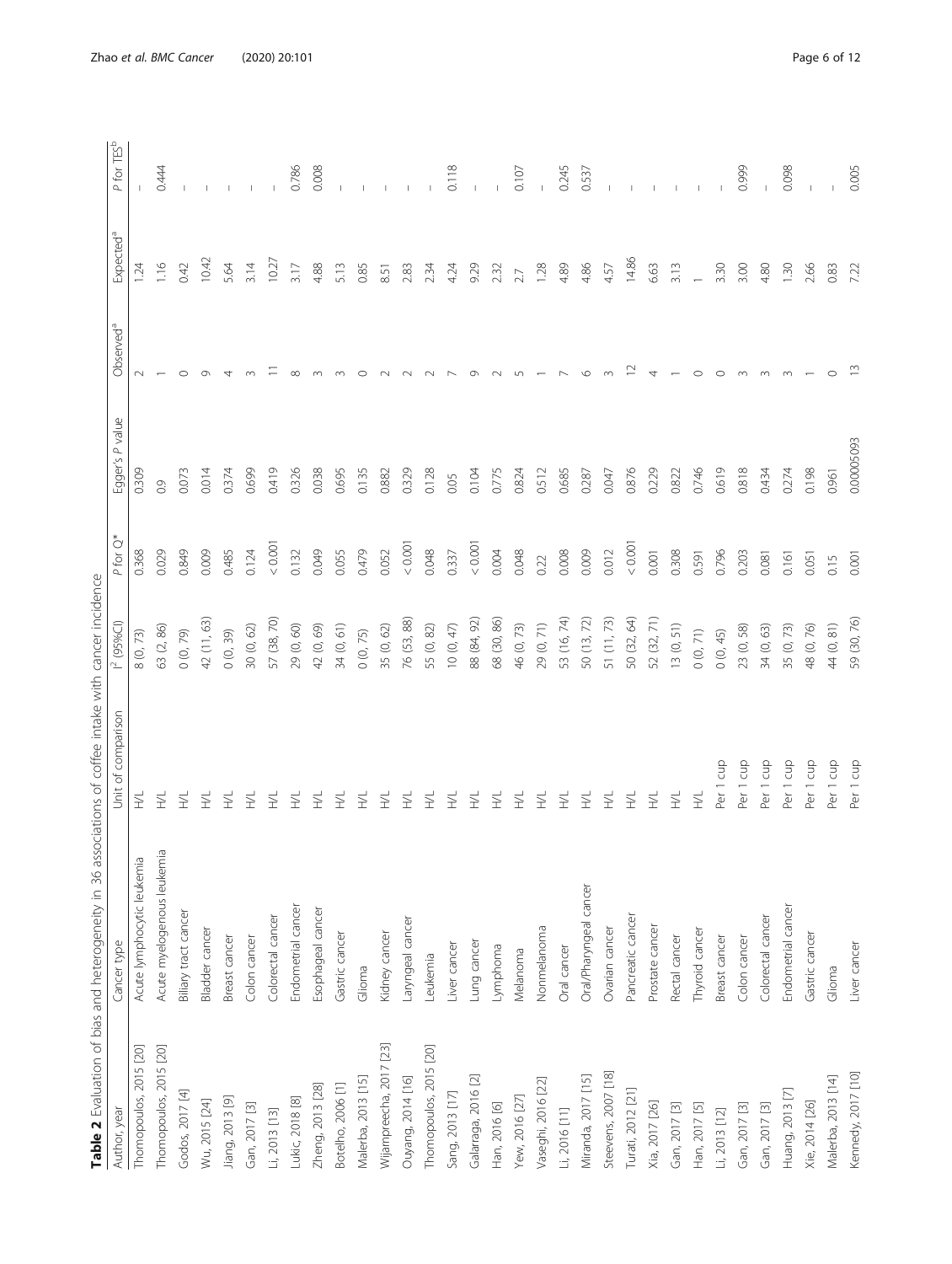| I<br>j<br>)<br>)<br>)<br>i<br>$\ddot{\phantom{a}}$<br>i<br>ļ<br>Ò<br>í<br>J<br>ļ<br>i<br>l<br>ś |
|-------------------------------------------------------------------------------------------------|
| )<br>3<br>-<br>)<br>I                                                                           |
| $\overline{\phantom{a}}$<br>ì<br>くくし<br>)<br>}<br>;                                             |
| $\ddot{\ }$<br>I                                                                                |
| I                                                                                               |
|                                                                                                 |
| ļ                                                                                               |
| j<br>I<br>)<br>ļ<br>١<br>č<br>J<br>5<br>$\mathbf{r}$<br>I<br>ì<br>j<br>I                        |
|                                                                                                 |
| $\frac{1}{2}$<br>l<br>j<br>$\frac{1}{2}$<br>j<br>ļ                                              |
| $\frac{1}{2}$<br>)                                                                              |
| Ì                                                                                               |
| ē<br>í<br>$\mathbf{I}$                                                                          |
| $\frac{1}{2}$                                                                                   |
| c elo.<br>$\vdots$                                                                              |

<span id="page-5-0"></span>

|                          | Table 2 Evaluation of bias and heterogeneity in 36 associations of coffee intake with cancer incidence |                         |                 |                  |                 |                       |                       |                           |
|--------------------------|--------------------------------------------------------------------------------------------------------|-------------------------|-----------------|------------------|-----------------|-----------------------|-----------------------|---------------------------|
| Author, year             | Cancer type                                                                                            | Unit of comparisor      | $1^{2}$ (95%CI) | $\circ$<br>P for | Egger's P value | Observed <sup>a</sup> | Expected <sup>a</sup> | TES <sup>b</sup><br>P for |
| Thomopoulos, 2015 [20]   | Acute lymphocytic leukemia                                                                             | 2                       | 8(0, 73)        | 0.368            | 0.309           | $\sim$                | 1.24                  |                           |
| Thomopoulos, 2015 [20]   | Acute myelogenous leukemia                                                                             | 2                       | 63 (2, 86)      | 0.029            | 0.9             |                       | 1.16                  | 0.444                     |
| Godos, 2017 [4]          | Biliary tract cancer                                                                                   | E                       | 0(0, 79)        | 0.849            | 0.073           | $\circ$               | 0.42                  |                           |
| Wu, 2015 [24]            | Bladder cancer                                                                                         | 도                       | 42 (11, 63)     | 0.009            | 0.014           | ᡡ                     | 10.42                 |                           |
| Jiang, 2013 [9]          | Breast cancer                                                                                          | 2                       | 0(0, 39)        | 0.485            | 0.374           | 4                     | 5.64                  |                           |
| Gan, 2017 [3]            | Colon cancer                                                                                           | 2                       | 30(0, 62)       | 0.124            | 0.699           |                       | 3.14                  |                           |
| Li, 2013 [13]            | Colorectal cancer                                                                                      | ž                       | 57 (38, 70)     | 0.00             | 0.419           |                       | 10.27                 |                           |
| Lukic, 2018 [8]          | Endometrial cancer                                                                                     | 三                       | 29 (0, 60)      | 0.132            | 0.326           | $\infty$              | 3.17                  | 0.786                     |
| Zheng, 2013 [28]         | Esophageal cancer                                                                                      | $\leq$                  | 42 (0, 69)      | 0.049            | 0.038           |                       | 4.88                  | 0.008                     |
| Botelho, 2006 [1]        | Gastric cancer                                                                                         | E                       | 34 (0, 61)      | 0.055            | 0.695           |                       | 5.13                  |                           |
| Malerba, 2013 [15]       | Glioma                                                                                                 | E                       | 0(0, 75)        | 0.479            | 0.135           | ○                     | 0.85                  |                           |
| Wijarnpreecha, 2017 [23] | Kidney cancer                                                                                          | E                       | 35 (0, 62)      | 0.052            | 0.882           |                       | 8.51                  |                           |
| Ouyang, 2014 [16]        | Laryngeal cancer                                                                                       | E                       | 76 (53, 88)     | 0.0001           | 0.329           |                       | 2.83                  |                           |
| Thomopoulos, 2015 [20]   | Leukemia                                                                                               | E                       | 55 (0, 82)      | 0.048            | 0.128           |                       | 2.34                  |                           |
| Sang, 2013 [17]          | Liver cancer                                                                                           | ž                       | 10(0, 47)       | 0.337            | 0.05            |                       | 4.24                  | 0.118                     |
| Galarraga, 2016 [2]      | Lung cancer                                                                                            | ž                       | 88 (84, 92)     | 0.001            | 0.104           |                       | 9.29                  |                           |
| Han, 2016 [6]            | Lymphoma                                                                                               | 2                       | 68 (30, 86)     | 0.004            | 0.775           |                       | 2.32                  |                           |
| Yew, 2016 [27]           | Melanoma                                                                                               | 2                       | 46 (0, 73)      | 0.048            | 0.824           | L                     | 2.7                   | 0.107                     |
| Vaseghi, 2016 [22]       | Nonmelanoma                                                                                            | 三                       | 29 (0, 71)      | 0.22             | 0.512           |                       | 1.28                  |                           |
| Li, 2016 [11]            | Oral cancer                                                                                            | E                       | 53 (16, 74)     | 0.008            | 0.685           |                       | 4.89                  | 0.245                     |
| Miranda, 2017 [15]       | Oral/Pharyngeal cancer                                                                                 | E                       | 50 (13, 72)     | 0.009            | 0.287           | $\circ$               | 4.86                  | 0.537                     |
| Steevens, 2007 [18]      | Ovarian cancer                                                                                         | E                       | 51 (11, 73)     | 0.012            | 0.047           |                       | 4.57                  |                           |
| Turati, 2012 [21]        | Pancreatic cancer                                                                                      | ž,                      | 50 (32, 64)     | < 0.00           | 0.876           |                       | 14.86                 |                           |
| Xia, 2017 [26]           | Prostate cancer                                                                                        | ž                       | 52 (32, 71)     | 0.001            | 0.229           | 4                     | 6.63                  |                           |
| Gan, 2017 [3]            | Rectal cancer                                                                                          | E                       | 13(0, 51)       | 0.308            | 0.822           |                       | 3.13                  |                           |
| Han, 2017 [5]            | Thyroid cancer                                                                                         | ž,                      | 0(0, 71)        | 0.591            | 0.746           | $\circ$               | $\overline{ }$        |                           |
| Li, 2013 [12]            | Breast cancer                                                                                          | cup<br>Per 1            | 0(0, 45)        | 0.796            | 0.619           | $\circ$               | 3.30                  |                           |
| Gan, 2017 [3]            | Colon cancer                                                                                           | g<br>Per 1              | 23 (0, 58)      | 0.203            | 0.818           |                       | 3.00                  | 0.999                     |
| Gan, 2017 [3]            | Colorectal cancer                                                                                      | cup<br>Per              | 34 (0, 63)      | 0.081            | 0.434           |                       | 4.80                  |                           |
| Huang, 2013 [7]          | Endometrial cancer                                                                                     | Gup<br>Per              | 35 (0, 73)      | 0.161            | 0.274           | $\infty$              | $\frac{30}{2}$        | 0.098                     |
| Xie, 2014 [26]           | Gastric cancer                                                                                         | gno<br>Per 1            | 48 (0, 76)      | 0.051            | 0.198           |                       | 2.66                  | $\mathbf{I}$              |
| Malerba, 2013 [14]       | Glioma                                                                                                 | cup<br>Per <sub>1</sub> | 44 (0, 81)      | 0.15             | 0.961           | $\circ$               | 0.83                  |                           |
| Kennedy, 2017 [10]       | Liver cancer                                                                                           | Per 1 cup               | 59 (30, 76)     | 0.001            | 0.00005093      |                       | 7.22                  | 0.005                     |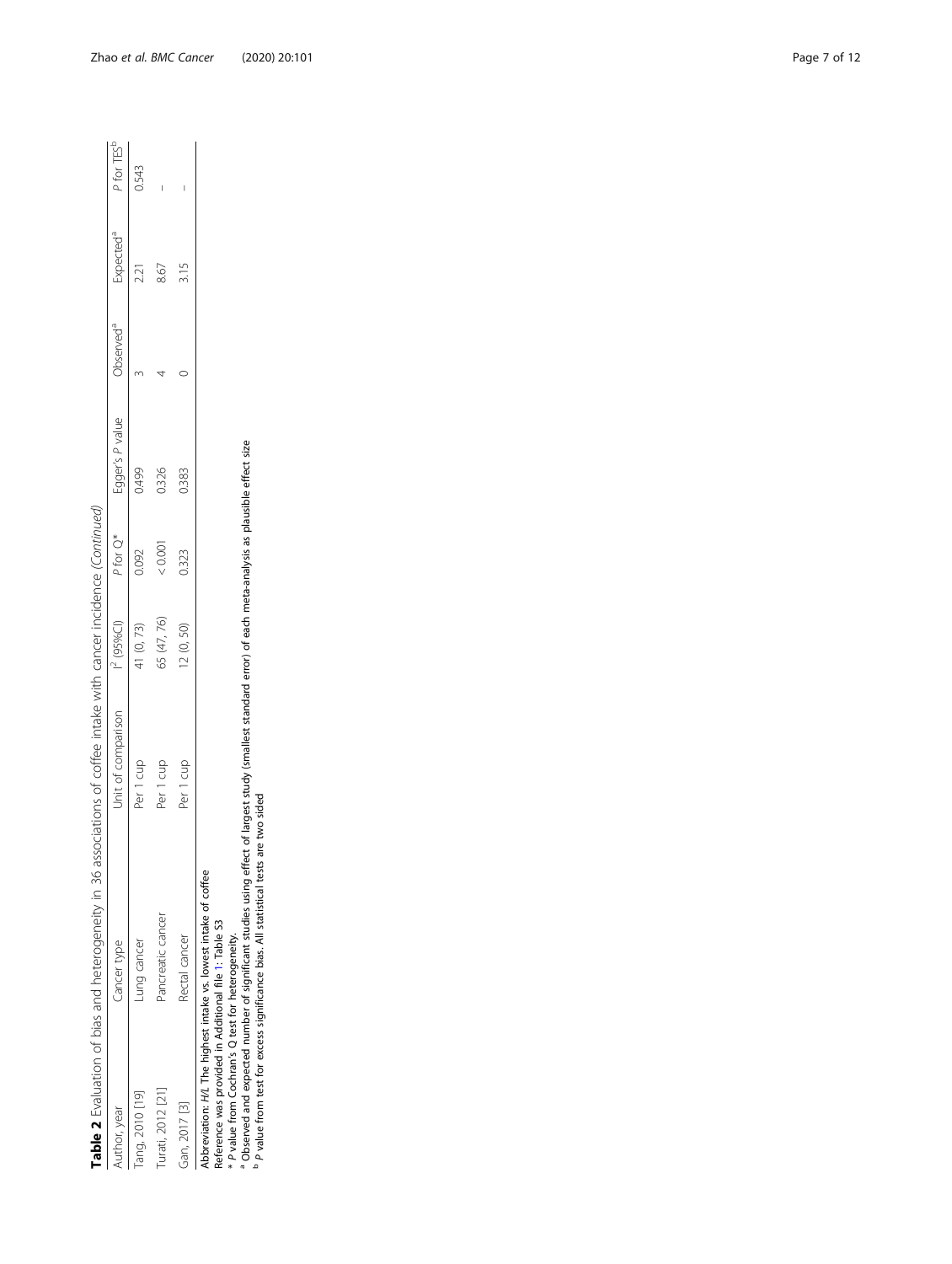| j<br>i<br>Í                        |  |
|------------------------------------|--|
| ì<br>١<br>ׇׇ֦֡֡                    |  |
|                                    |  |
| ļ                                  |  |
| ֦<br>$\overline{\phantom{a}}$<br>l |  |
|                                    |  |
| $\overline{\phantom{a}}$<br>ł      |  |
| j<br>ï                             |  |
| j                                  |  |
| ļ                                  |  |
|                                    |  |
| )<br>j                             |  |
|                                    |  |
| j                                  |  |
| $\ddot{\cdot}$                     |  |
| $\ddot{\phantom{1}}$               |  |
| ï                                  |  |
| ś                                  |  |
| $\frac{1}{2}$                      |  |
|                                    |  |
| ļ<br>ł<br>L                        |  |
| Ì                                  |  |
| $\overline{\phantom{a}}$<br>I      |  |
| ١                                  |  |
| ļ                                  |  |
|                                    |  |
|                                    |  |
|                                    |  |
| ١                                  |  |
| $\ddot{\phantom{a}}$               |  |
| )<br>)                             |  |
|                                    |  |
| ì                                  |  |
| ï                                  |  |
| ׇ֚֘֡<br>j<br>١                     |  |
| I<br>Í<br>j                        |  |
| 5<br>ì<br>j                        |  |
| į<br>١<br>١                        |  |
| j                                  |  |
|                                    |  |
| ٢                                  |  |
| I<br>ś                             |  |
| j                                  |  |
| ١                                  |  |
|                                    |  |
|                                    |  |
|                                    |  |
| j                                  |  |
| ١                                  |  |
| j                                  |  |
| j<br>t                             |  |
| ı<br>ĺ                             |  |
| j<br>Ó                             |  |
| 高                                  |  |
| ı                                  |  |
|                                    |  |

|                   | ֚֚֬               |                    |             |          |                 |                      |                       |                        |
|-------------------|-------------------|--------------------|-------------|----------|-----------------|----------------------|-----------------------|------------------------|
| uthor, year       | Cancer type       | Jnit of comparison | $(95\%$ CI) | P for Q* | Egger's P value | bserved <sup>a</sup> | Expected <sup>a</sup> | P for TES <sup>!</sup> |
| ang, 2010 [19]    | ung cancer        | Per 1 cup          | (0, 73)     | 0.092    | 0.499           |                      | 2.21                  | 0.543                  |
| Turati, 2012 [21, | Pancreatic cancer | Per 1 cup          | 55 (47, 76) | < 0.001  | 0.326           |                      | 8.67                  | I                      |
| Gan, 2017 [3]     | Rectal cancer     | CUD<br>èr          | 2(0, 50)    | 0.323    | 0.383           |                      | 3.15                  |                        |
|                   |                   |                    |             |          |                 |                      |                       |                        |

Abbreviation: H/L The highest intake vs. lowest intake of coffee

Reference was provided in Additional file [1](#page-9-0): Table S3

\*ab P value from Cochran's Q test for heterogeneity. Observed and expected number of significant studies using effect of largest study (smallest standard error) of each meta-analysis as plausible effect size

P value from test for excess significance bias. All statistical tests are two sided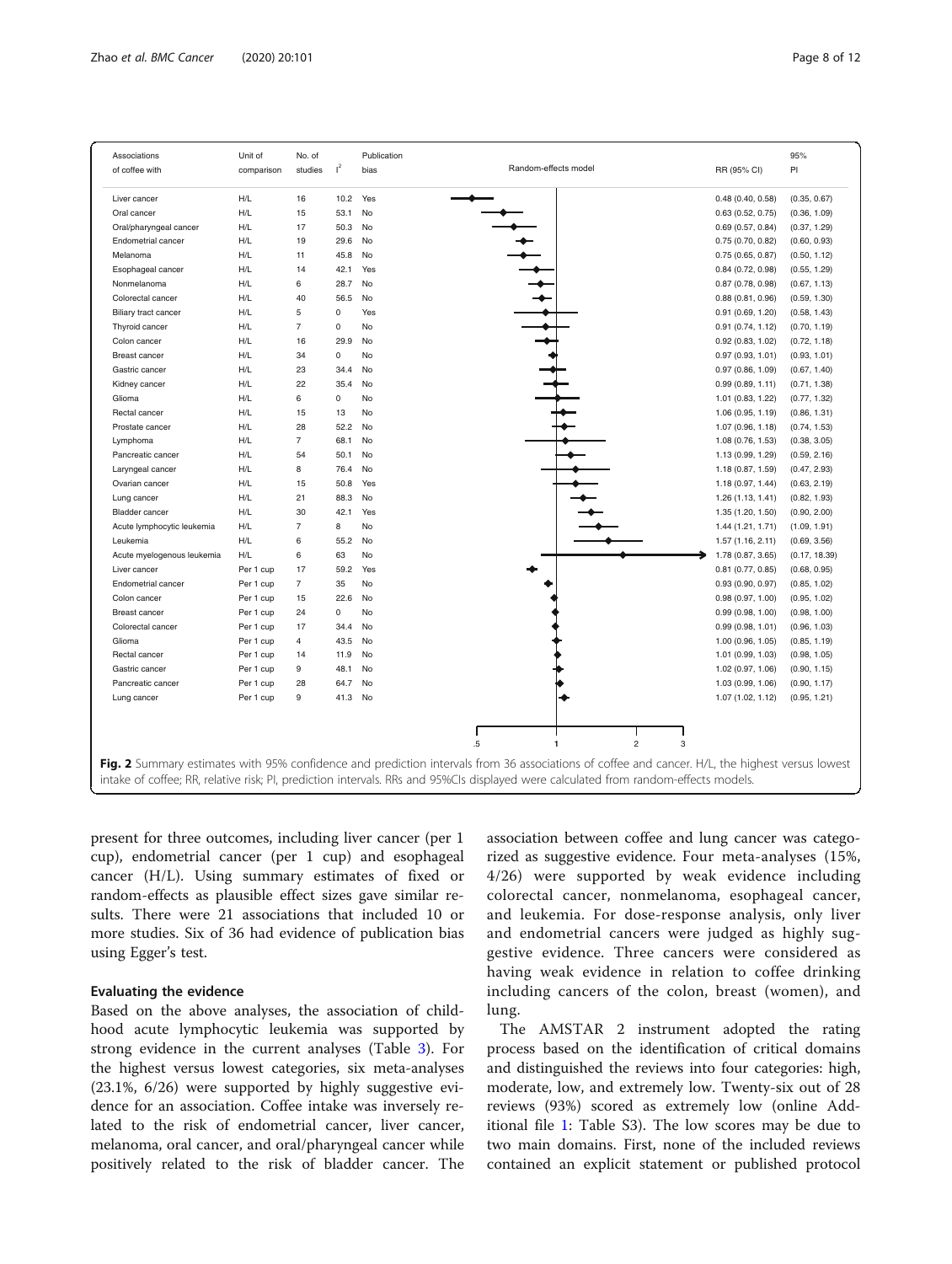<span id="page-7-0"></span>

| Associations               | Unit of    | No. of         |       | Publication |                                                                                                                                                                                                                                                                                        |                     | 95%           |
|----------------------------|------------|----------------|-------|-------------|----------------------------------------------------------------------------------------------------------------------------------------------------------------------------------------------------------------------------------------------------------------------------------------|---------------------|---------------|
| of coffee with             | comparison | studies        | $I^2$ | bias        | Random-effects model                                                                                                                                                                                                                                                                   | RR (95% CI)         | PI            |
|                            |            |                |       |             |                                                                                                                                                                                                                                                                                        |                     |               |
| Liver cancer               | H/L        | 16             | 10.2  | Yes         |                                                                                                                                                                                                                                                                                        | 0.48(0.40, 0.58)    | (0.35, 0.67)  |
| Oral cancer                | H/L        | 15             | 53.1  | No          |                                                                                                                                                                                                                                                                                        | 0.63(0.52, 0.75)    | (0.36, 1.09)  |
| Oral/pharyngeal cancer     | H/L        | 17             | 50.3  | No          |                                                                                                                                                                                                                                                                                        | 0.69(0.57, 0.84)    | (0.37, 1.29)  |
| Endometrial cancer         | H/L        | 19             | 29.6  | No          |                                                                                                                                                                                                                                                                                        | 0.75(0.70, 0.82)    | (0.60, 0.93)  |
| Melanoma                   | H/L        | 11             | 45.8  | No          |                                                                                                                                                                                                                                                                                        | 0.75(0.65, 0.87)    | (0.50, 1.12)  |
| Esophageal cancer          | H/L        | 14             | 42.1  | Yes         |                                                                                                                                                                                                                                                                                        | 0.84(0.72, 0.98)    | (0.55, 1.29)  |
| Nonmelanoma                | H/L        | 6              | 28.7  | No          |                                                                                                                                                                                                                                                                                        | 0.87(0.78, 0.98)    | (0.67, 1.13)  |
| Colorectal cancer          | H/L        | 40             | 56.5  | No          |                                                                                                                                                                                                                                                                                        | 0.88(0.81, 0.96)    | (0.59, 1.30)  |
| Biliary tract cancer       | H/L        | 5              | 0     | Yes         |                                                                                                                                                                                                                                                                                        | 0.91(0.69, 1.20)    | (0.58, 1.43)  |
| Thyroid cancer             | H/L        | $\overline{7}$ | 0     | No          |                                                                                                                                                                                                                                                                                        | 0.91(0.74, 1.12)    | (0.70, 1.19)  |
| Colon cancer               | H/L        | 16             | 29.9  | No          |                                                                                                                                                                                                                                                                                        | 0.92(0.83, 1.02)    | (0.72, 1.18)  |
| <b>Breast cancer</b>       | H/L        | 34             | 0     | No          |                                                                                                                                                                                                                                                                                        | 0.97(0.93, 1.01)    | (0.93, 1.01)  |
| Gastric cancer             | H/L        | 23             | 34.4  | No          |                                                                                                                                                                                                                                                                                        | 0.97(0.86, 1.09)    | (0.67, 1.40)  |
| Kidney cancer              | H/L        | 22             | 35.4  | No          |                                                                                                                                                                                                                                                                                        | 0.99(0.89, 1.11)    | (0.71, 1.38)  |
| Glioma                     | H/L        | 6              | 0     | No          |                                                                                                                                                                                                                                                                                        | 1.01 (0.83, 1.22)   | (0.77, 1.32)  |
| Rectal cancer              | H/L        | 15             | 13    | No          |                                                                                                                                                                                                                                                                                        | 1.06 (0.95, 1.19)   | (0.86, 1.31)  |
| Prostate cancer            | H/L        | 28             | 52.2  | No          |                                                                                                                                                                                                                                                                                        | 1.07 (0.96, 1.18)   | (0.74, 1.53)  |
| Lymphoma                   | H/L        | $\overline{7}$ | 68.1  | No          |                                                                                                                                                                                                                                                                                        | 1.08 (0.76, 1.53)   | (0.38, 3.05)  |
| Pancreatic cancer          | H/L        | 54             | 50.1  | No          |                                                                                                                                                                                                                                                                                        | 1.13 (0.99, 1.29)   | (0.59, 2.16)  |
| Laryngeal cancer           | H/L        | 8              | 76.4  | No          |                                                                                                                                                                                                                                                                                        | 1.18 (0.87, 1.59)   | (0.47, 2.93)  |
| Ovarian cancer             | H/L        | 15             | 50.8  | Yes         |                                                                                                                                                                                                                                                                                        | 1.18 (0.97, 1.44)   | (0.63, 2.19)  |
| Lung cancer                | H/L        | 21             | 88.3  | No          |                                                                                                                                                                                                                                                                                        | 1.26(1.13, 1.41)    | (0.82, 1.93)  |
| <b>Bladder</b> cancer      | H/L        | 30             | 42.1  | Yes         |                                                                                                                                                                                                                                                                                        | 1.35 (1.20, 1.50)   | (0.90, 2.00)  |
| Acute lymphocytic leukemia | H/L        | $\overline{7}$ | 8     | No          |                                                                                                                                                                                                                                                                                        | 1.44 (1.21, 1.71)   | (1.09, 1.91)  |
| Leukemia                   | H/L        | 6              | 55.2  | No          |                                                                                                                                                                                                                                                                                        | 1.57(1.16, 2.11)    | (0.69, 3.56)  |
| Acute myelogenous leukemia | H/L        | 6              | 63    | No          |                                                                                                                                                                                                                                                                                        | 1.78 (0.87, 3.65)   | (0.17, 18.39) |
| Liver cancer               | Per 1 cup  | 17             | 59.2  | Yes         |                                                                                                                                                                                                                                                                                        | $0.81$ (0.77, 0.85) | (0.68, 0.95)  |
| <b>Endometrial cancer</b>  | Per 1 cup  | $\overline{7}$ | 35    | No          |                                                                                                                                                                                                                                                                                        | 0.93(0.90, 0.97)    | (0.85, 1.02)  |
| Colon cancer               | Per 1 cup  | 15             | 22.6  | No          |                                                                                                                                                                                                                                                                                        | 0.98(0.97, 1.00)    | (0.95, 1.02)  |
| <b>Breast cancer</b>       | Per 1 cup  | 24             | 0     | No          |                                                                                                                                                                                                                                                                                        | 0.99(0.98, 1.00)    | (0.98, 1.00)  |
| Colorectal cancer          | Per 1 cup  | 17             | 34.4  | No          |                                                                                                                                                                                                                                                                                        | 0.99(0.98, 1.01)    | (0.96, 1.03)  |
| Glioma                     | Per 1 cup  | $\overline{4}$ | 43.5  | No          |                                                                                                                                                                                                                                                                                        | 1.00 (0.96, 1.05)   | (0.85, 1.19)  |
| Rectal cancer              | Per 1 cup  | 14             | 11.9  | No          |                                                                                                                                                                                                                                                                                        | 1.01 (0.99, 1.03)   | (0.98, 1.05)  |
| Gastric cancer             | Per 1 cup  | $9\,$          | 48.1  | No          |                                                                                                                                                                                                                                                                                        | 1.02 (0.97, 1.06)   | (0.90, 1.15)  |
| Pancreatic cancer          | Per 1 cup  | 28             | 64.7  | No          |                                                                                                                                                                                                                                                                                        | 1.03 (0.99, 1.06)   | (0.90, 1.17)  |
| Lung cancer                | Per 1 cup  | 9              | 41.3  | No          |                                                                                                                                                                                                                                                                                        | 1.07 (1.02, 1.12)   | (0.95, 1.21)  |
|                            |            |                |       |             |                                                                                                                                                                                                                                                                                        |                     |               |
|                            |            |                |       |             | $\overline{2}$<br>3<br>.5<br>$\mathbf{1}$                                                                                                                                                                                                                                              |                     |               |
|                            |            |                |       |             | Fig. 2 Summary estimates with 95% confidence and prediction intervals from 36 associations of coffee and cancer. H/L, the highest versus lowest<br>intake of coffee; RR, relative risk; PI, prediction intervals. RRs and 95%CIs displayed were calculated from random-effects models. |                     |               |

present for three outcomes, including liver cancer (per 1 cup), endometrial cancer (per 1 cup) and esophageal cancer (H/L). Using summary estimates of fixed or random-effects as plausible effect sizes gave similar results. There were 21 associations that included 10 or more studies. Six of 36 had evidence of publication bias using Egger's test.

#### Evaluating the evidence

Based on the above analyses, the association of childhood acute lymphocytic leukemia was supported by strong evidence in the current analyses (Table [3\)](#page-8-0). For the highest versus lowest categories, six meta-analyses (23.1%, 6/26) were supported by highly suggestive evidence for an association. Coffee intake was inversely related to the risk of endometrial cancer, liver cancer, melanoma, oral cancer, and oral/pharyngeal cancer while positively related to the risk of bladder cancer. The association between coffee and lung cancer was categorized as suggestive evidence. Four meta-analyses (15%, 4/26) were supported by weak evidence including colorectal cancer, nonmelanoma, esophageal cancer, and leukemia. For dose-response analysis, only liver and endometrial cancers were judged as highly suggestive evidence. Three cancers were considered as having weak evidence in relation to coffee drinking including cancers of the colon, breast (women), and lung.

The AMSTAR 2 instrument adopted the rating process based on the identification of critical domains and distinguished the reviews into four categories: high, moderate, low, and extremely low. Twenty-six out of 28 reviews (93%) scored as extremely low (online Additional file [1:](#page-9-0) Table S3). The low scores may be due to two main domains. First, none of the included reviews contained an explicit statement or published protocol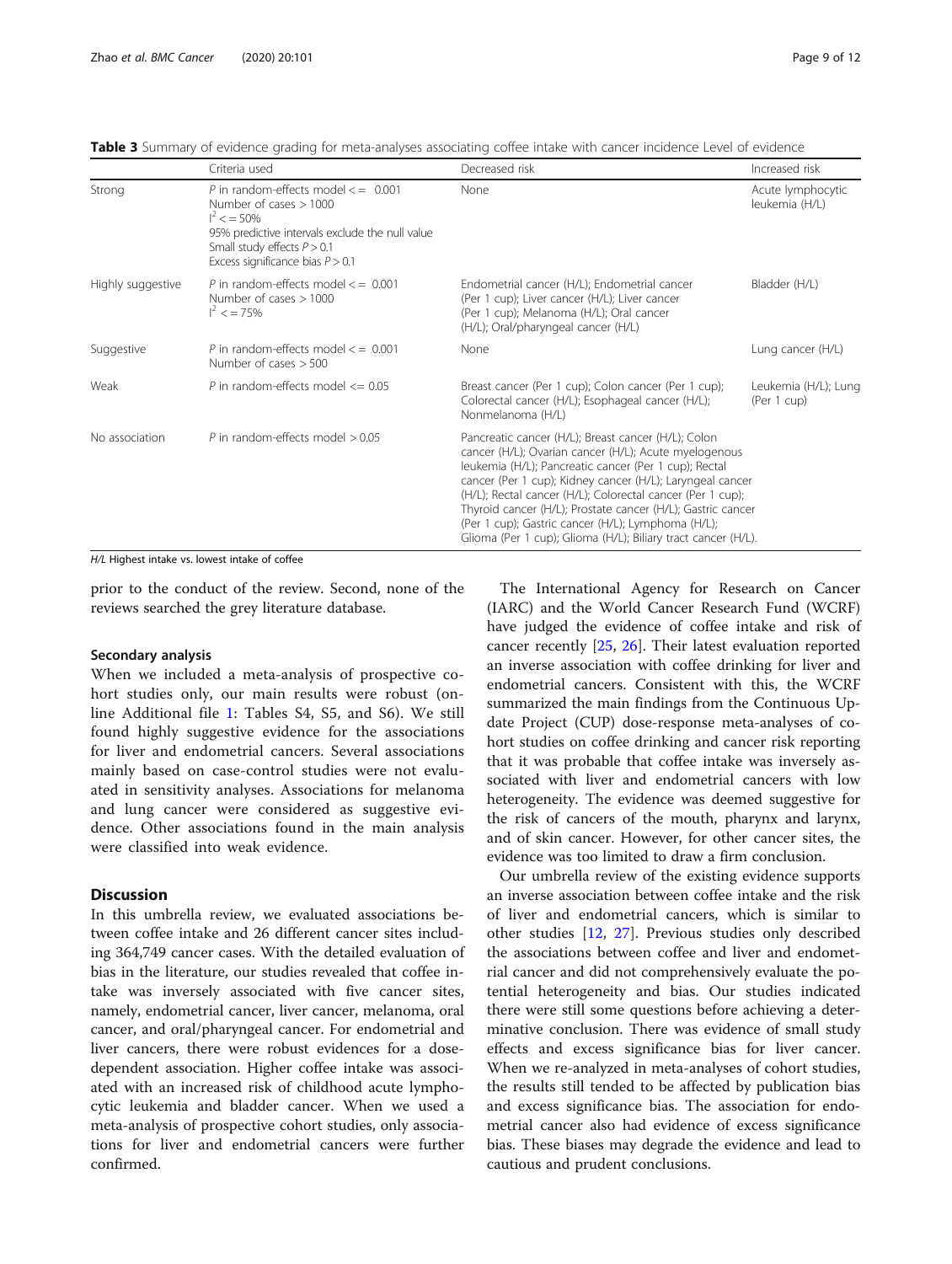|                   | Criteria used                                                                                                                                                                                                 | Decreased risk                                                                                                                                                                                                                                                                                                                                                                                                                                                                         | Increased risk                      |
|-------------------|---------------------------------------------------------------------------------------------------------------------------------------------------------------------------------------------------------------|----------------------------------------------------------------------------------------------------------------------------------------------------------------------------------------------------------------------------------------------------------------------------------------------------------------------------------------------------------------------------------------------------------------------------------------------------------------------------------------|-------------------------------------|
| Strong            | P in random-effects model $\lt$ = 0.001<br>Number of cases $> 1000$<br>$I^2 < 50\%$<br>95% predictive intervals exclude the null value<br>Small study effects $P > 0.1$<br>Excess significance bias $P > 0.1$ | None                                                                                                                                                                                                                                                                                                                                                                                                                                                                                   | Acute lymphocytic<br>leukemia (H/L) |
| Highly suggestive | P in random-effects model $\epsilon$ = 0.001<br>Number of cases $> 1000$<br>$I^2 < 75\%$                                                                                                                      | Endometrial cancer (H/L); Endometrial cancer<br>(Per 1 cup); Liver cancer (H/L); Liver cancer<br>(Per 1 cup); Melanoma (H/L); Oral cancer<br>(H/L); Oral/pharyngeal cancer (H/L)                                                                                                                                                                                                                                                                                                       | Bladder (H/L)                       |
| Suggestive        | P in random-effects model $\epsilon$ = 0.001<br>Number of cases $> 500$                                                                                                                                       | None                                                                                                                                                                                                                                                                                                                                                                                                                                                                                   | Lung cancer (H/L)                   |
| Weak              | P in random-effects model $\leq$ 0.05                                                                                                                                                                         | Breast cancer (Per 1 cup); Colon cancer (Per 1 cup);<br>Colorectal cancer (H/L); Esophageal cancer (H/L);<br>Nonmelanoma (H/L)                                                                                                                                                                                                                                                                                                                                                         | Leukemia (H/L); Lung<br>(Per 1 cup) |
| No association    | P in random-effects model $> 0.05$                                                                                                                                                                            | Pancreatic cancer (H/L); Breast cancer (H/L); Colon<br>cancer (H/L); Ovarian cancer (H/L); Acute myelogenous<br>leukemia (H/L); Pancreatic cancer (Per 1 cup); Rectal<br>cancer (Per 1 cup); Kidney cancer (H/L); Laryngeal cancer<br>(H/L); Rectal cancer (H/L); Colorectal cancer (Per 1 cup);<br>Thyroid cancer (H/L); Prostate cancer (H/L); Gastric cancer<br>(Per 1 cup); Gastric cancer (H/L); Lymphoma (H/L);<br>Glioma (Per 1 cup); Glioma (H/L); Biliary tract cancer (H/L). |                                     |

<span id="page-8-0"></span>Table 3 Summary of evidence grading for meta-analyses associating coffee intake with cancer incidence Level of evidence

H/L Highest intake vs. lowest intake of coffee

prior to the conduct of the review. Second, none of the reviews searched the grey literature database.

#### Secondary analysis

When we included a meta-analysis of prospective cohort studies only, our main results were robust (online Additional file [1](#page-9-0): Tables S4, S5, and S6). We still found highly suggestive evidence for the associations for liver and endometrial cancers. Several associations mainly based on case-control studies were not evaluated in sensitivity analyses. Associations for melanoma and lung cancer were considered as suggestive evidence. Other associations found in the main analysis were classified into weak evidence.

#### Discussion

In this umbrella review, we evaluated associations between coffee intake and 26 different cancer sites including 364,749 cancer cases. With the detailed evaluation of bias in the literature, our studies revealed that coffee intake was inversely associated with five cancer sites, namely, endometrial cancer, liver cancer, melanoma, oral cancer, and oral/pharyngeal cancer. For endometrial and liver cancers, there were robust evidences for a dosedependent association. Higher coffee intake was associated with an increased risk of childhood acute lymphocytic leukemia and bladder cancer. When we used a meta-analysis of prospective cohort studies, only associations for liver and endometrial cancers were further confirmed.

The International Agency for Research on Cancer (IARC) and the World Cancer Research Fund (WCRF) have judged the evidence of coffee intake and risk of cancer recently [[25,](#page-10-0) [26](#page-10-0)]. Their latest evaluation reported an inverse association with coffee drinking for liver and endometrial cancers. Consistent with this, the WCRF summarized the main findings from the Continuous Update Project (CUP) dose-response meta-analyses of cohort studies on coffee drinking and cancer risk reporting that it was probable that coffee intake was inversely associated with liver and endometrial cancers with low heterogeneity. The evidence was deemed suggestive for the risk of cancers of the mouth, pharynx and larynx, and of skin cancer. However, for other cancer sites, the evidence was too limited to draw a firm conclusion.

Our umbrella review of the existing evidence supports an inverse association between coffee intake and the risk of liver and endometrial cancers, which is similar to other studies [[12](#page-10-0), [27](#page-10-0)]. Previous studies only described the associations between coffee and liver and endometrial cancer and did not comprehensively evaluate the potential heterogeneity and bias. Our studies indicated there were still some questions before achieving a determinative conclusion. There was evidence of small study effects and excess significance bias for liver cancer. When we re-analyzed in meta-analyses of cohort studies, the results still tended to be affected by publication bias and excess significance bias. The association for endometrial cancer also had evidence of excess significance bias. These biases may degrade the evidence and lead to cautious and prudent conclusions.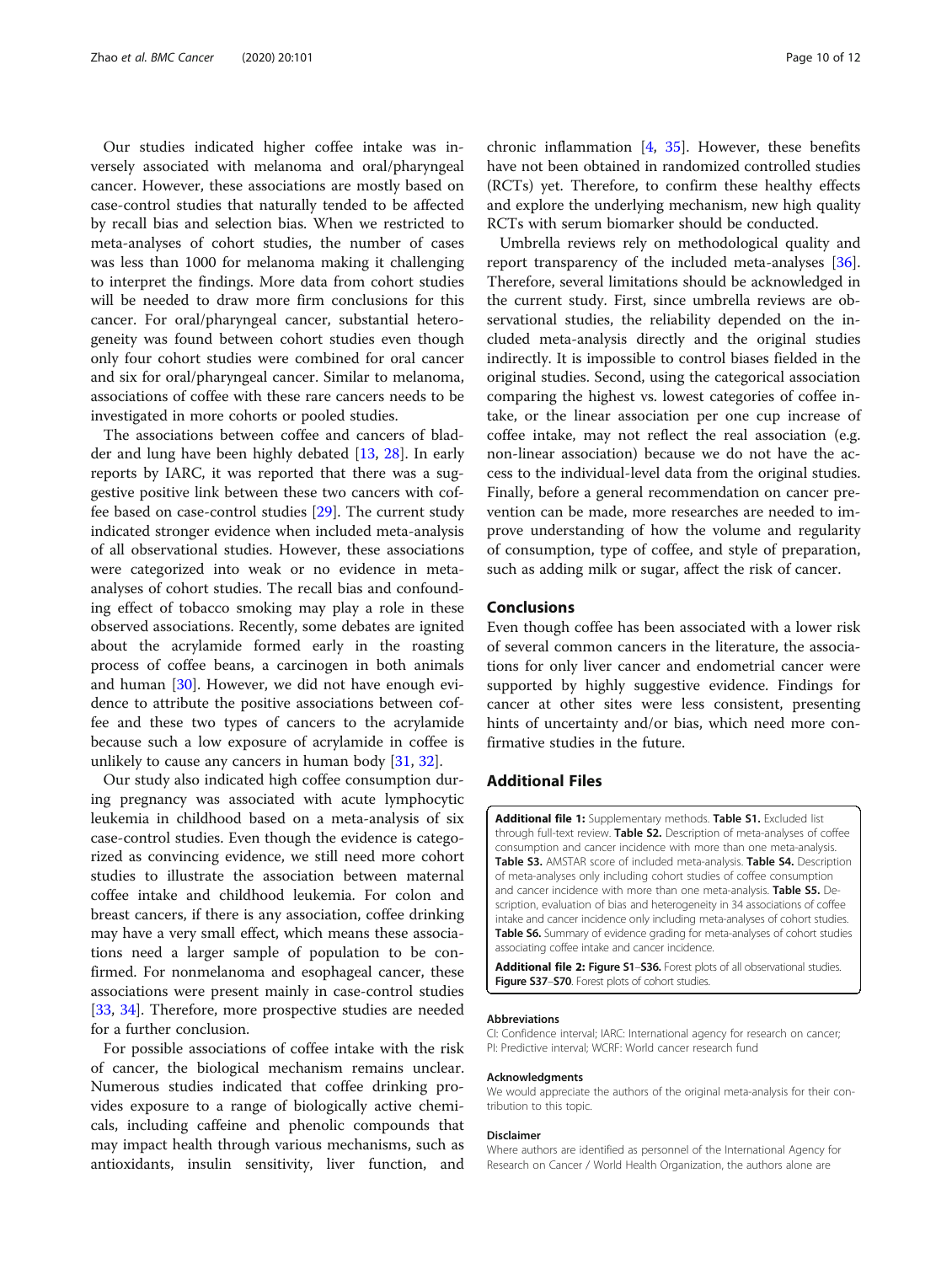<span id="page-9-0"></span>Our studies indicated higher coffee intake was inversely associated with melanoma and oral/pharyngeal cancer. However, these associations are mostly based on case-control studies that naturally tended to be affected by recall bias and selection bias. When we restricted to meta-analyses of cohort studies, the number of cases was less than 1000 for melanoma making it challenging to interpret the findings. More data from cohort studies will be needed to draw more firm conclusions for this cancer. For oral/pharyngeal cancer, substantial heterogeneity was found between cohort studies even though only four cohort studies were combined for oral cancer and six for oral/pharyngeal cancer. Similar to melanoma, associations of coffee with these rare cancers needs to be investigated in more cohorts or pooled studies.

The associations between coffee and cancers of bladder and lung have been highly debated [[13,](#page-10-0) [28](#page-10-0)]. In early reports by IARC, it was reported that there was a suggestive positive link between these two cancers with coffee based on case-control studies [\[29](#page-10-0)]. The current study indicated stronger evidence when included meta-analysis of all observational studies. However, these associations were categorized into weak or no evidence in metaanalyses of cohort studies. The recall bias and confounding effect of tobacco smoking may play a role in these observed associations. Recently, some debates are ignited about the acrylamide formed early in the roasting process of coffee beans, a carcinogen in both animals and human  $[30]$  $[30]$ . However, we did not have enough evidence to attribute the positive associations between coffee and these two types of cancers to the acrylamide because such a low exposure of acrylamide in coffee is unlikely to cause any cancers in human body [\[31](#page-10-0), [32\]](#page-10-0).

Our study also indicated high coffee consumption during pregnancy was associated with acute lymphocytic leukemia in childhood based on a meta-analysis of six case-control studies. Even though the evidence is categorized as convincing evidence, we still need more cohort studies to illustrate the association between maternal coffee intake and childhood leukemia. For colon and breast cancers, if there is any association, coffee drinking may have a very small effect, which means these associations need a larger sample of population to be confirmed. For nonmelanoma and esophageal cancer, these associations were present mainly in case-control studies [[33,](#page-10-0) [34\]](#page-10-0). Therefore, more prospective studies are needed for a further conclusion.

For possible associations of coffee intake with the risk of cancer, the biological mechanism remains unclear. Numerous studies indicated that coffee drinking provides exposure to a range of biologically active chemicals, including caffeine and phenolic compounds that may impact health through various mechanisms, such as antioxidants, insulin sensitivity, liver function, and

chronic inflammation [\[4,](#page-10-0) [35](#page-11-0)]. However, these benefits have not been obtained in randomized controlled studies (RCTs) yet. Therefore, to confirm these healthy effects and explore the underlying mechanism, new high quality RCTs with serum biomarker should be conducted.

Umbrella reviews rely on methodological quality and report transparency of the included meta-analyses [\[36](#page-11-0)]. Therefore, several limitations should be acknowledged in the current study. First, since umbrella reviews are observational studies, the reliability depended on the included meta-analysis directly and the original studies indirectly. It is impossible to control biases fielded in the original studies. Second, using the categorical association comparing the highest vs. lowest categories of coffee intake, or the linear association per one cup increase of coffee intake, may not reflect the real association (e.g. non-linear association) because we do not have the access to the individual-level data from the original studies. Finally, before a general recommendation on cancer prevention can be made, more researches are needed to improve understanding of how the volume and regularity of consumption, type of coffee, and style of preparation, such as adding milk or sugar, affect the risk of cancer.

#### Conclusions

Even though coffee has been associated with a lower risk of several common cancers in the literature, the associations for only liver cancer and endometrial cancer were supported by highly suggestive evidence. Findings for cancer at other sites were less consistent, presenting hints of uncertainty and/or bias, which need more confirmative studies in the future.

#### Additional Files

Additional file 1: Supplementary methods. Table S1. Excluded list through full-text review. Table S2. Description of meta-analyses of coffee consumption and cancer incidence with more than one meta-analysis. Table S3. AMSTAR score of included meta-analysis. Table S4. Description of meta-analyses only including cohort studies of coffee consumption and cancer incidence with more than one meta-analysis. **Table S5.** Description, evaluation of bias and heterogeneity in 34 associations of coffee intake and cancer incidence only including meta-analyses of cohort studies. Table S6. Summary of evidence grading for meta-analyses of cohort studies associating coffee intake and cancer incidence.

Additional file 2: Figure S1-S36. Forest plots of all observational studies. Figure S37-S70. Forest plots of cohort studies.

#### Abbreviations

CI: Confidence interval; IARC: International agency for research on cancer; PI: Predictive interval; WCRF: World cancer research fund

#### Acknowledgments

We would appreciate the authors of the original meta-analysis for their contribution to this topic.

#### Disclaimer

Where authors are identified as personnel of the International Agency for Research on Cancer / World Health Organization, the authors alone are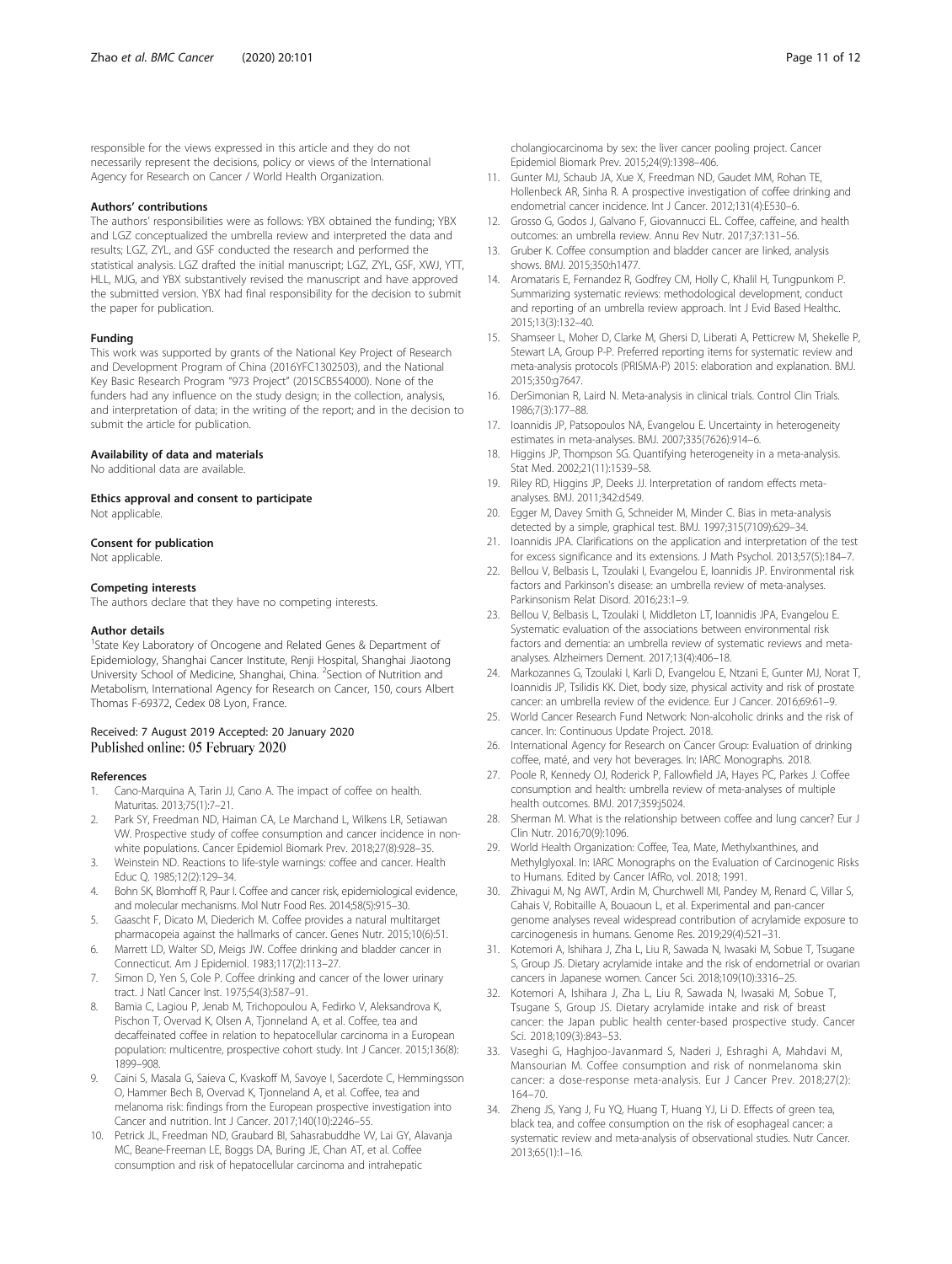<span id="page-10-0"></span>responsible for the views expressed in this article and they do not necessarily represent the decisions, policy or views of the International Agency for Research on Cancer / World Health Organization.

#### Authors' contributions

The authors' responsibilities were as follows: YBX obtained the funding; YBX and LGZ conceptualized the umbrella review and interpreted the data and results; LGZ, ZYL, and GSF conducted the research and performed the statistical analysis. LGZ drafted the initial manuscript; LGZ, ZYL, GSF, XWJ, YTT, HLL, MJG, and YBX substantively revised the manuscript and have approved the submitted version. YBX had final responsibility for the decision to submit the paper for publication.

#### Funding

This work was supported by grants of the National Key Project of Research and Development Program of China (2016YFC1302503), and the National Key Basic Research Program "973 Project" (2015CB554000). None of the funders had any influence on the study design; in the collection, analysis, and interpretation of data; in the writing of the report; and in the decision to submit the article for publication.

#### Availability of data and materials

No additional data are available.

#### Ethics approval and consent to participate

Not applicable.

#### Consent for publication

Not applicable.

#### Competing interests

The authors declare that they have no competing interests.

#### Author details

<sup>1</sup>State Key Laboratory of Oncogene and Related Genes & Department of Epidemiology, Shanghai Cancer Institute, Renji Hospital, Shanghai Jiaotong University School of Medicine, Shanghai, China. <sup>2</sup>Section of Nutrition and Metabolism, International Agency for Research on Cancer, 150, cours Albert Thomas F-69372, Cedex 08 Lyon, France.

#### Received: 7 August 2019 Accepted: 20 January 2020 Published online: 05 February 2020

#### References

- Cano-Marquina A, Tarin JJ, Cano A. The impact of coffee on health. Maturitas. 2013;75(1):7–21.
- 2. Park SY, Freedman ND, Haiman CA, Le Marchand L, Wilkens LR, Setiawan VW. Prospective study of coffee consumption and cancer incidence in nonwhite populations. Cancer Epidemiol Biomark Prev. 2018;27(8):928–35.
- 3. Weinstein ND. Reactions to life-style warnings: coffee and cancer. Health Educ Q. 1985;12(2):129–34.
- 4. Bohn SK, Blomhoff R, Paur I. Coffee and cancer risk, epidemiological evidence, and molecular mechanisms. Mol Nutr Food Res. 2014;58(5):915–30.
- 5. Gaascht F, Dicato M, Diederich M. Coffee provides a natural multitarget pharmacopeia against the hallmarks of cancer. Genes Nutr. 2015;10(6):51.
- 6. Marrett LD, Walter SD, Meigs JW. Coffee drinking and bladder cancer in Connecticut. Am J Epidemiol. 1983;117(2):113–27.
- 7. Simon D, Yen S, Cole P. Coffee drinking and cancer of the lower urinary tract. J Natl Cancer Inst. 1975;54(3):587–91.
- Bamia C, Lagiou P, Jenab M, Trichopoulou A, Fedirko V, Aleksandrova K, Pischon T, Overvad K, Olsen A, Tjonneland A, et al. Coffee, tea and decaffeinated coffee in relation to hepatocellular carcinoma in a European population: multicentre, prospective cohort study. Int J Cancer. 2015;136(8): 1899–908.
- Caini S, Masala G, Saieva C, Kvaskoff M, Savoye I, Sacerdote C, Hemmingsson O, Hammer Bech B, Overvad K, Tjonneland A, et al. Coffee, tea and melanoma risk: findings from the European prospective investigation into Cancer and nutrition. Int J Cancer. 2017;140(10):2246–55.
- 10. Petrick JL, Freedman ND, Graubard BI, Sahasrabuddhe VV, Lai GY, Alavanja MC, Beane-Freeman LE, Boggs DA, Buring JE, Chan AT, et al. Coffee consumption and risk of hepatocellular carcinoma and intrahepatic

cholangiocarcinoma by sex: the liver cancer pooling project. Cancer Epidemiol Biomark Prev. 2015;24(9):1398–406.

- 11. Gunter MJ, Schaub JA, Xue X, Freedman ND, Gaudet MM, Rohan TE, Hollenbeck AR, Sinha R. A prospective investigation of coffee drinking and endometrial cancer incidence. Int J Cancer. 2012;131(4):E530–6.
- 12. Grosso G, Godos J, Galvano F, Giovannucci EL. Coffee, caffeine, and health outcomes: an umbrella review. Annu Rev Nutr. 2017;37:131–56.
- 13. Gruber K. Coffee consumption and bladder cancer are linked, analysis shows. BMJ. 2015;350:h1477.
- 14. Aromataris E, Fernandez R, Godfrey CM, Holly C, Khalil H, Tungpunkom P. Summarizing systematic reviews: methodological development, conduct and reporting of an umbrella review approach. Int J Evid Based Healthc. 2015;13(3):132–40.
- 15. Shamseer L, Moher D, Clarke M, Ghersi D, Liberati A, Petticrew M, Shekelle P, Stewart LA, Group P-P. Preferred reporting items for systematic review and meta-analysis protocols (PRISMA-P) 2015: elaboration and explanation. BMJ. 2015;350:g7647.
- 16. DerSimonian R, Laird N. Meta-analysis in clinical trials. Control Clin Trials. 1986;7(3):177–88.
- 17. Ioannidis JP, Patsopoulos NA, Evangelou E. Uncertainty in heterogeneity estimates in meta-analyses. BMJ. 2007;335(7626):914–6.
- 18. Higgins JP, Thompson SG. Quantifying heterogeneity in a meta-analysis. Stat Med. 2002;21(11):1539–58.
- 19. Riley RD, Higgins JP, Deeks JJ. Interpretation of random effects metaanalyses. BMJ. 2011;342:d549.
- 20. Egger M, Davey Smith G, Schneider M, Minder C. Bias in meta-analysis detected by a simple, graphical test. BMJ. 1997;315(7109):629–34.
- 21. Ioannidis JPA. Clarifications on the application and interpretation of the test for excess significance and its extensions. J Math Psychol. 2013;57(5):184–7.
- 22. Bellou V, Belbasis L, Tzoulaki I, Evangelou E, Ioannidis JP. Environmental risk factors and Parkinson's disease: an umbrella review of meta-analyses. Parkinsonism Relat Disord. 2016;23:1–9.
- 23. Bellou V, Belbasis L, Tzoulaki I, Middleton LT, Ioannidis JPA, Evangelou E. Systematic evaluation of the associations between environmental risk factors and dementia: an umbrella review of systematic reviews and metaanalyses. Alzheimers Dement. 2017;13(4):406–18.
- 24. Markozannes G, Tzoulaki I, Karli D, Evangelou E, Ntzani E, Gunter MJ, Norat T, Ioannidis JP, Tsilidis KK. Diet, body size, physical activity and risk of prostate cancer: an umbrella review of the evidence. Eur J Cancer. 2016;69:61–9.
- 25. World Cancer Research Fund Network: Non-alcoholic drinks and the risk of cancer. In: Continuous Update Project. 2018.
- 26. International Agency for Research on Cancer Group: Evaluation of drinking coffee, maté, and very hot beverages. In: IARC Monographs. 2018.
- 27. Poole R, Kennedy OJ, Roderick P, Fallowfield JA, Hayes PC, Parkes J. Coffee consumption and health: umbrella review of meta-analyses of multiple health outcomes. BMJ. 2017;359:j5024.
- 28. Sherman M. What is the relationship between coffee and lung cancer? Eur J Clin Nutr. 2016;70(9):1096.
- 29. World Health Organization: Coffee, Tea, Mate, Methylxanthines, and Methylglyoxal. In: IARC Monographs on the Evaluation of Carcinogenic Risks to Humans. Edited by Cancer IAfRo, vol. 2018; 1991.
- 30. Zhivagui M, Ng AWT, Ardin M, Churchwell MI, Pandey M, Renard C, Villar S, Cahais V, Robitaille A, Bouaoun L, et al. Experimental and pan-cancer genome analyses reveal widespread contribution of acrylamide exposure to carcinogenesis in humans. Genome Res. 2019;29(4):521–31.
- 31. Kotemori A, Ishihara J, Zha L, Liu R, Sawada N, Iwasaki M, Sobue T, Tsugane S, Group JS. Dietary acrylamide intake and the risk of endometrial or ovarian cancers in Japanese women. Cancer Sci. 2018;109(10):3316–25.
- 32. Kotemori A, Ishihara J, Zha L, Liu R, Sawada N, Iwasaki M, Sobue T, Tsugane S, Group JS. Dietary acrylamide intake and risk of breast cancer: the Japan public health center-based prospective study. Cancer Sci. 2018;109(3):843–53.
- 33. Vaseghi G, Haghjoo-Javanmard S, Naderi J, Eshraghi A, Mahdavi M, Mansourian M. Coffee consumption and risk of nonmelanoma skin cancer: a dose-response meta-analysis. Eur J Cancer Prev. 2018;27(2): 164–70.
- 34. Zheng JS, Yang J, Fu YQ, Huang T, Huang YJ, Li D. Effects of green tea, black tea, and coffee consumption on the risk of esophageal cancer: a systematic review and meta-analysis of observational studies. Nutr Cancer. 2013;65(1):1–16.